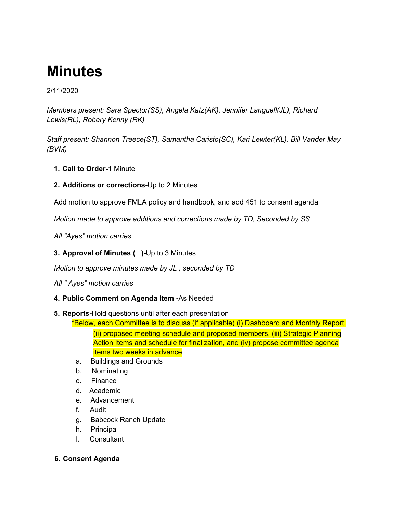# **Minutes**

## 2/11/2020

*Members present: Sara Spector(SS), Angela Katz(AK), Jennifer Languell(JL), Richard Lewis(RL), Robery Kenny (RK)*

*Staff present: Shannon Treece(ST), Samantha Caristo(SC), Kari Lewter(KL), Bill Vander May (BVM)*

- **1. Call to Order-**1 Minute
- **2. Additions or corrections-**Up to 2 Minutes

Add motion to approve FMLA policy and handbook, and add 451 to consent agenda

*Motion made to approve additions and corrections made by TD, Seconded by SS*

*All "Ayes" motion carries*

**3. Approval of Minutes ( )-**Up to 3 Minutes

*Motion to approve minutes made by JL , seconded by TD*

*All " Ayes" motion carries*

## **4. Public Comment on Agenda Item -**As Needed

## **5. Reports-**Hold questions until after each presentation

\*Below, each Committee is to discuss (if applicable) (i) Dashboard and Monthly Report,

(ii) proposed meeting schedule and proposed members, (iii) Strategic Planning Action Items and schedule for finalization, and (iv) propose committee agenda items two weeks in advance

- a. Buildings and Grounds
- b. Nominating
- c. Finance
- d. Academic
- e. Advancement
- f. Audit
- g. Babcock Ranch Update
- h. Principal
- I. Consultant

## **6. Consent Agenda**